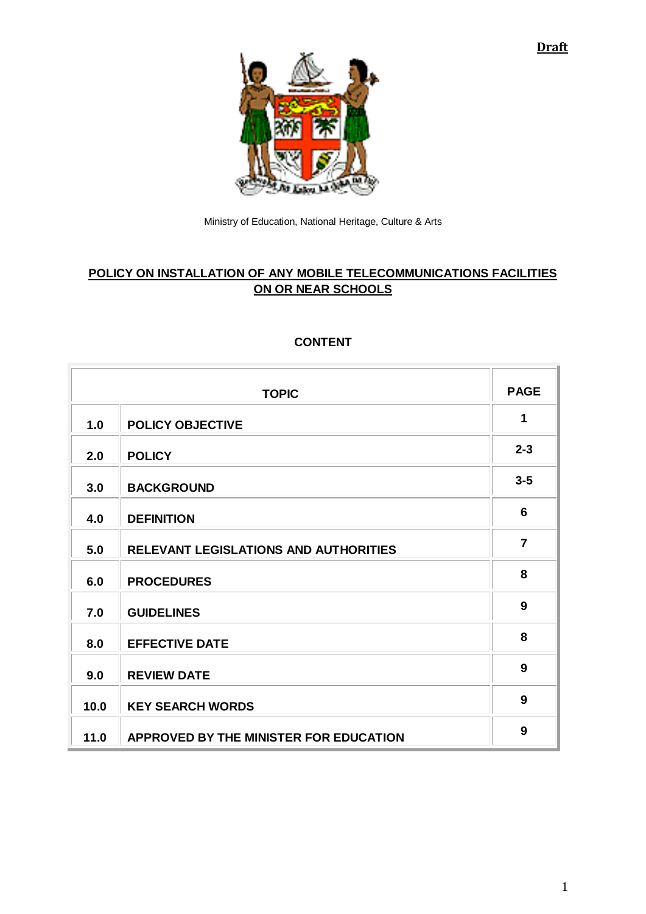**Draft**



Ministry of Education, National Heritage, Culture & Arts

# **POLICY ON INSTALLATION OF ANY MOBILE TELECOMMUNICATIONS FACILITIES ON OR NEAR SCHOOLS**

# **TOPIC PAGE 1.0 POLICY OBJECTIVE <sup>1</sup> 2.0 POLICY 2-3 3.0 BACKGROUND 3-5 4.0 DEFINITION <sup>6</sup> 5.0 RELEVANT LEGISLATIONS AND AUTHORITIES <sup>7</sup> 6.0 PROCEDURES <sup>8</sup> 7.0 GUIDELINES <sup>9</sup> 8.0 EFFECTIVE DATE <sup>8</sup> 9.0 REVIEW DATE <sup>9</sup> 10.0 KEY SEARCH WORDS <sup>9</sup> 11.0 APPROVED BY THE MINISTER FOR EDUCATION <sup>9</sup>**

## **CONTENT**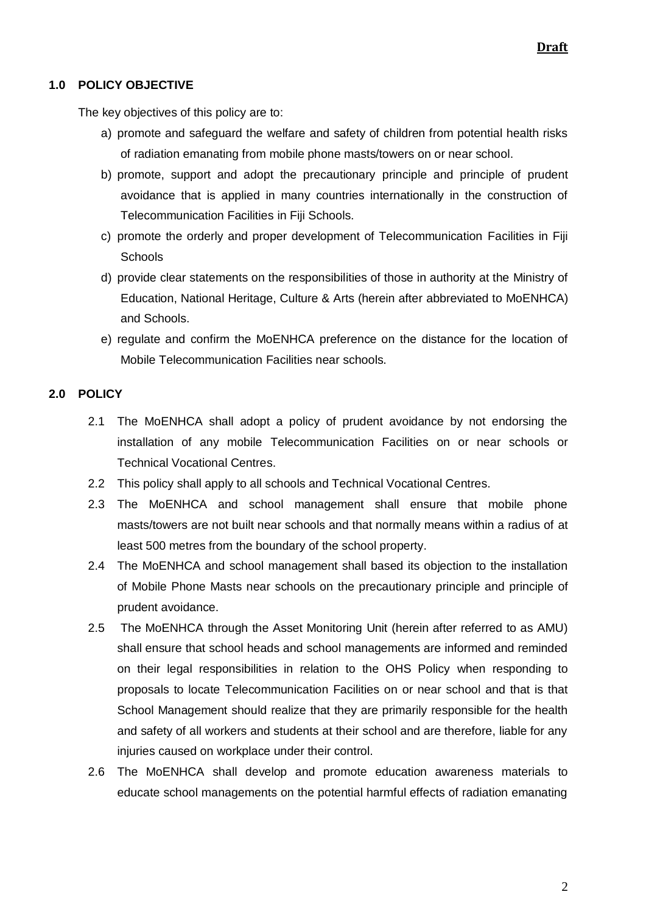## **1.0 POLICY OBJECTIVE**

The key objectives of this policy are to:

- a) promote and safeguard the welfare and safety of children from potential health risks of radiation emanating from mobile phone masts/towers on or near school.
- b) promote, support and adopt the precautionary principle and principle of prudent avoidance that is applied in many countries internationally in the construction of Telecommunication Facilities in Fiji Schools.
- c) promote the orderly and proper development of Telecommunication Facilities in Fiji **Schools**
- d) provide clear statements on the responsibilities of those in authority at the Ministry of Education, National Heritage, Culture & Arts (herein after abbreviated to MoENHCA) and Schools.
- e) regulate and confirm the MoENHCA preference on the distance for the location of Mobile Telecommunication Facilities near schools.

## **2.0 POLICY**

- 2.1 The MoENHCA shall adopt a policy of prudent avoidance by not endorsing the installation of any mobile Telecommunication Facilities on or near schools or Technical Vocational Centres.
- 2.2 This policy shall apply to all schools and Technical Vocational Centres.
- 2.3 The MoENHCA and school management shall ensure that mobile phone masts/towers are not built near schools and that normally means within a radius of at least 500 metres from the boundary of the school property.
- 2.4 The MoENHCA and school management shall based its objection to the installation of Mobile Phone Masts near schools on the precautionary principle and principle of prudent avoidance.
- 2.5 The MoENHCA through the Asset Monitoring Unit (herein after referred to as AMU) shall ensure that school heads and school managements are informed and reminded on their legal responsibilities in relation to the OHS Policy when responding to proposals to locate Telecommunication Facilities on or near school and that is that School Management should realize that they are primarily responsible for the health and safety of all workers and students at their school and are therefore, liable for any injuries caused on workplace under their control.
- 2.6 The MoENHCA shall develop and promote education awareness materials to educate school managements on the potential harmful effects of radiation emanating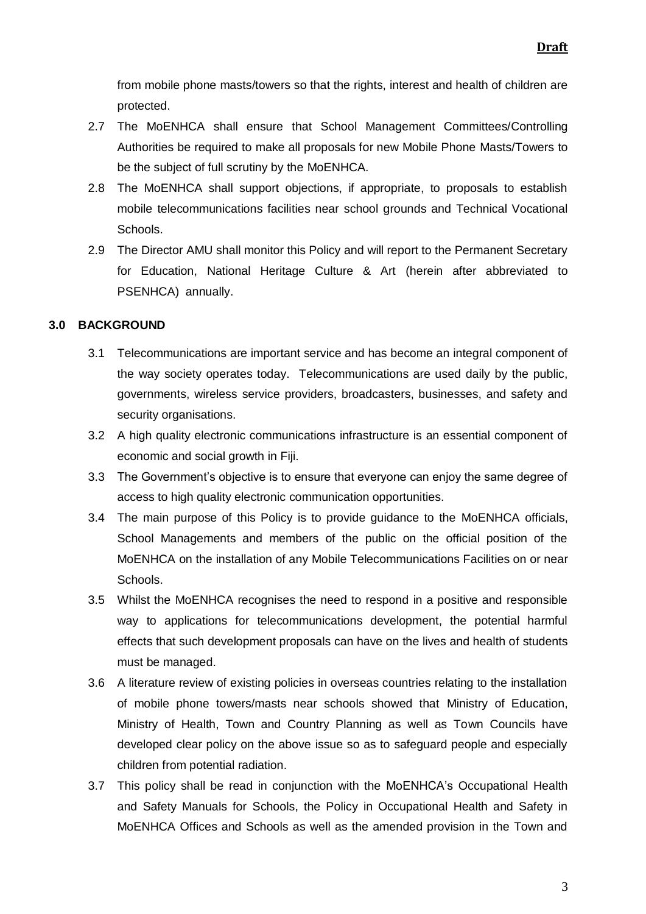from mobile phone masts/towers so that the rights, interest and health of children are protected.

- 2.7 The MoENHCA shall ensure that School Management Committees/Controlling Authorities be required to make all proposals for new Mobile Phone Masts/Towers to be the subject of full scrutiny by the MoENHCA.
- 2.8 The MoENHCA shall support objections, if appropriate, to proposals to establish mobile telecommunications facilities near school grounds and Technical Vocational Schools.
- 2.9 The Director AMU shall monitor this Policy and will report to the Permanent Secretary for Education, National Heritage Culture & Art (herein after abbreviated to PSENHCA) annually.

### **3.0 BACKGROUND**

- 3.1 Telecommunications are important service and has become an integral component of the way society operates today. Telecommunications are used daily by the public, governments, wireless service providers, broadcasters, businesses, and safety and security organisations.
- 3.2 A high quality electronic communications infrastructure is an essential component of economic and social growth in Fiji.
- 3.3 The Government's objective is to ensure that everyone can enjoy the same degree of access to high quality electronic communication opportunities.
- 3.4 The main purpose of this Policy is to provide guidance to the MoENHCA officials, School Managements and members of the public on the official position of the MoENHCA on the installation of any Mobile Telecommunications Facilities on or near Schools.
- 3.5 Whilst the MoENHCA recognises the need to respond in a positive and responsible way to applications for telecommunications development, the potential harmful effects that such development proposals can have on the lives and health of students must be managed.
- 3.6 A literature review of existing policies in overseas countries relating to the installation of mobile phone towers/masts near schools showed that Ministry of Education, Ministry of Health, Town and Country Planning as well as Town Councils have developed clear policy on the above issue so as to safeguard people and especially children from potential radiation.
- 3.7 This policy shall be read in conjunction with the MoENHCA's Occupational Health and Safety Manuals for Schools, the Policy in Occupational Health and Safety in MoENHCA Offices and Schools as well as the amended provision in the Town and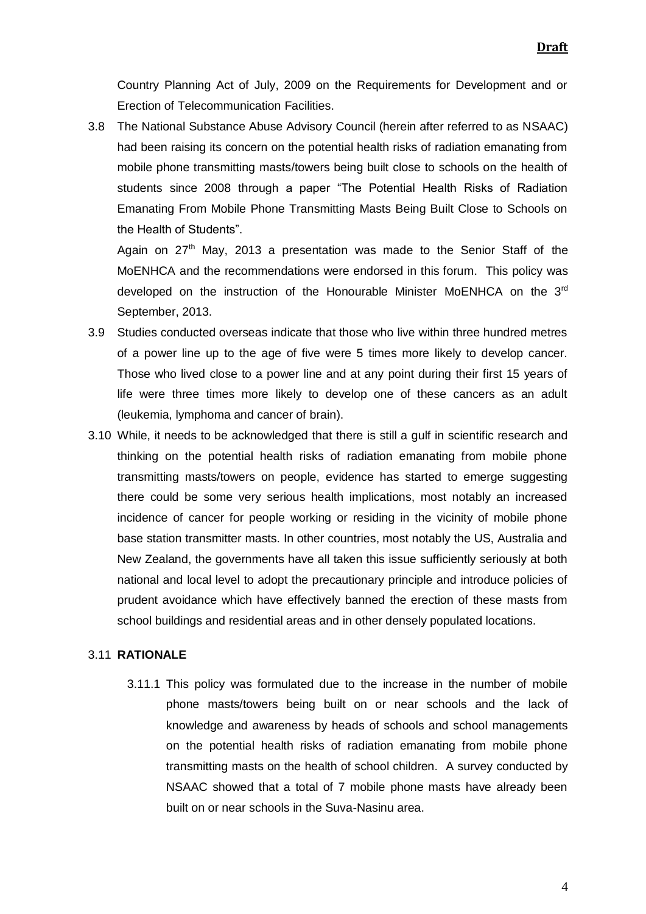Country Planning Act of July, 2009 on the Requirements for Development and or Erection of Telecommunication Facilities.

3.8 The National Substance Abuse Advisory Council (herein after referred to as NSAAC) had been raising its concern on the potential health risks of radiation emanating from mobile phone transmitting masts/towers being built close to schools on the health of students since 2008 through a paper "The Potential Health Risks of Radiation Emanating From Mobile Phone Transmitting Masts Being Built Close to Schools on the Health of Students".

Again on 27<sup>th</sup> May, 2013 a presentation was made to the Senior Staff of the MoENHCA and the recommendations were endorsed in this forum. This policy was developed on the instruction of the Honourable Minister MoENHCA on the 3<sup>rd</sup> September, 2013.

- 3.9 Studies conducted overseas indicate that those who live within three hundred metres of a power line up to the age of five were 5 times more likely to develop cancer. Those who lived close to a power line and at any point during their first 15 years of life were three times more likely to develop one of these cancers as an adult (leukemia, lymphoma and cancer of brain).
- 3.10 While, it needs to be acknowledged that there is still a gulf in scientific research and thinking on the potential health risks of radiation emanating from mobile phone transmitting masts/towers on people, evidence has started to emerge suggesting there could be some very serious health implications, most notably an increased incidence of cancer for people working or residing in the vicinity of mobile phone base station transmitter masts. In other countries, most notably the US, Australia and New Zealand, the governments have all taken this issue sufficiently seriously at both national and local level to adopt the precautionary principle and introduce policies of prudent avoidance which have effectively banned the erection of these masts from school buildings and residential areas and in other densely populated locations.

#### 3.11 **RATIONALE**

3.11.1 This policy was formulated due to the increase in the number of mobile phone masts/towers being built on or near schools and the lack of knowledge and awareness by heads of schools and school managements on the potential health risks of radiation emanating from mobile phone transmitting masts on the health of school children. A survey conducted by NSAAC showed that a total of 7 mobile phone masts have already been built on or near schools in the Suva-Nasinu area.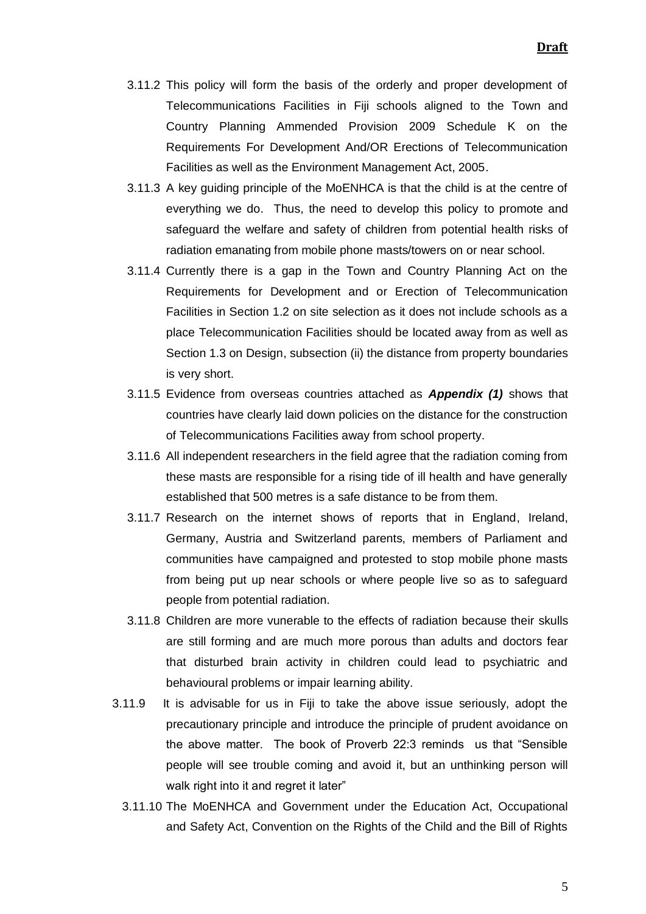- 3.11.2 This policy will form the basis of the orderly and proper development of Telecommunications Facilities in Fiji schools aligned to the Town and Country Planning Ammended Provision 2009 Schedule K on the Requirements For Development And/OR Erections of Telecommunication Facilities as well as the Environment Management Act, 2005.
- 3.11.3 A key guiding principle of the MoENHCA is that the child is at the centre of everything we do. Thus, the need to develop this policy to promote and safeguard the welfare and safety of children from potential health risks of radiation emanating from mobile phone masts/towers on or near school.
- 3.11.4 Currently there is a gap in the Town and Country Planning Act on the Requirements for Development and or Erection of Telecommunication Facilities in Section 1.2 on site selection as it does not include schools as a place Telecommunication Facilities should be located away from as well as Section 1.3 on Design, subsection (ii) the distance from property boundaries is very short.
- 3.11.5 Evidence from overseas countries attached as *Appendix (1)* shows that countries have clearly laid down policies on the distance for the construction of Telecommunications Facilities away from school property.
- 3.11.6 All independent researchers in the field agree that the radiation coming from these masts are responsible for a rising tide of ill health and have generally established that 500 metres is a safe distance to be from them.
- 3.11.7 Research on the internet shows of reports that in England, Ireland, Germany, Austria and Switzerland parents, members of Parliament and communities have campaigned and protested to stop mobile phone masts from being put up near schools or where people live so as to safeguard people from potential radiation.
- 3.11.8 Children are more vunerable to the effects of radiation because their skulls are still forming and are much more porous than adults and doctors fear that disturbed brain activity in children could lead to psychiatric and behavioural problems or impair learning ability.
- 3.11.9 It is advisable for us in Fiji to take the above issue seriously, adopt the precautionary principle and introduce the principle of prudent avoidance on the above matter. The book of Proverb 22:3 reminds us that "Sensible people will see trouble coming and avoid it, but an unthinking person will walk right into it and regret it later"
	- 3.11.10 The MoENHCA and Government under the Education Act, Occupational and Safety Act, Convention on the Rights of the Child and the Bill of Rights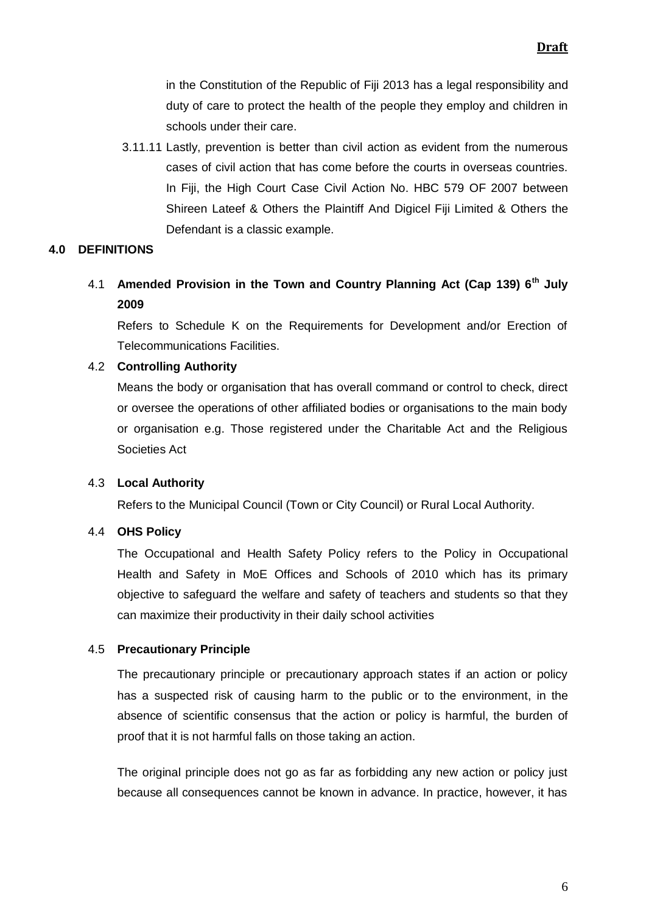in the Constitution of the Republic of Fiji 2013 has a legal responsibility and duty of care to protect the health of the people they employ and children in schools under their care.

3.11.11 Lastly, prevention is better than civil action as evident from the numerous cases of civil action that has come before the courts in overseas countries. In Fiji, the High Court Case Civil Action No. HBC 579 OF 2007 between Shireen Lateef & Others the Plaintiff And Digicel Fiji Limited & Others the Defendant is a classic example.

## **4.0 DEFINITIONS**

4.1 **Amended Provision in the Town and Country Planning Act (Cap 139) 6th July 2009** 

Refers to Schedule K on the Requirements for Development and/or Erection of Telecommunications Facilities.

### 4.2 **Controlling Authority**

Means the body or organisation that has overall command or control to check, direct or oversee the operations of other affiliated bodies or organisations to the main body or organisation e.g. Those registered under the Charitable Act and the Religious Societies Act

### 4.3 **Local Authority**

Refers to the Municipal Council (Town or City Council) or Rural Local Authority.

### 4.4 **OHS Policy**

The Occupational and Health Safety Policy refers to the Policy in Occupational Health and Safety in MoE Offices and Schools of 2010 which has its primary objective to safeguard the welfare and safety of teachers and students so that they can maximize their productivity in their daily school activities

### 4.5 **Precautionary Principle**

The precautionary principle or precautionary approach states if an action or policy has a suspected risk of causing harm to the [public](http://en.wikipedia.org/wiki/General_public) or to the [environment,](http://en.wikipedia.org/wiki/Natural_environment) in the absence of [scientific consensus](http://en.wikipedia.org/wiki/Scientific_consensus) that the action or policy is harmful, the [burden of](http://en.wikipedia.org/wiki/Legal_burden_of_proof)  [proof](http://en.wikipedia.org/wiki/Legal_burden_of_proof) that it is not harmful falls on those taking an action.

The original principle does not go as far as forbidding any new action or policy just because all consequences cannot be known in advance. In practice, however, it has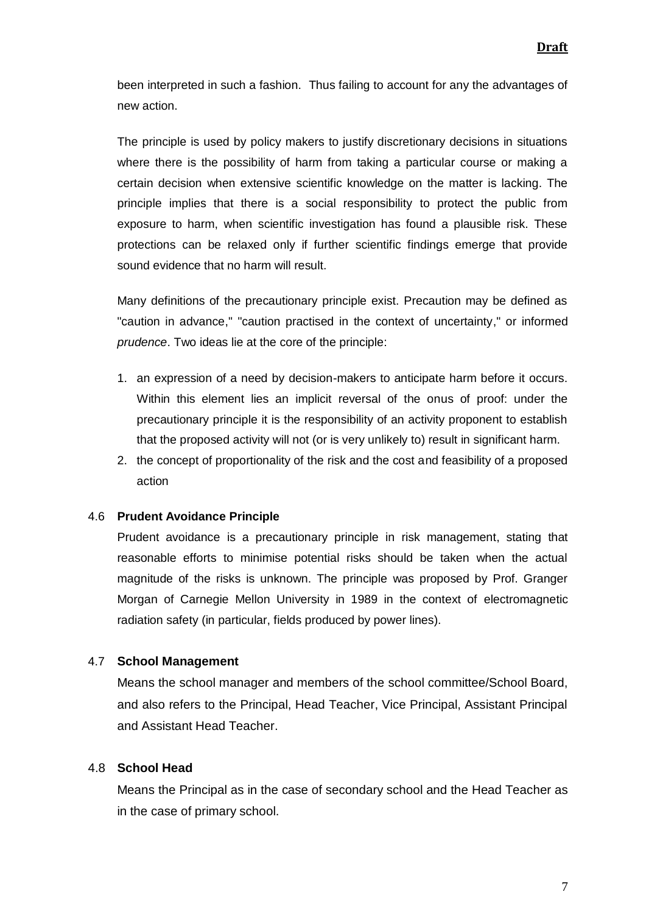been interpreted in such a fashion. Thus failing to account for any the advantages of new action.

The principle is used by policy makers to justify discretionary decisions in situations where there is the possibility of harm from taking a particular course or making a certain decision when extensive scientific knowledge on the matter is lacking. The principle implies that there is a social responsibility to protect the public from exposure to harm, when scientific investigation has found a plausible risk. These protections can be relaxed only if further scientific findings emerge that provide sound evidence that no harm will result.

Many definitions of the precautionary principle exist. Precaution may be defined as "caution in advance," "caution practised in the context of uncertainty," or informed *[prudence](http://en.wikipedia.org/wiki/Prudence)*. Two ideas lie at the core of the principle:

- 1. an expression of a need by decision-makers to anticipate harm before it occurs. Within this element lies an implicit reversal of the onus of proof: under the precautionary principle it is the responsibility of an activity proponent to establish that the proposed activity will not (or is very unlikely to) result in significant harm.
- 2. the concept of proportionality of the risk and the cost and feasibility of a proposed action

#### 4.6 **Prudent Avoidance Principle**

Prudent avoidance is a [precautionary principle](http://en.wikipedia.org/wiki/Precautionary_principle) in [risk management,](http://en.wikipedia.org/wiki/Risk_management) stating that reasonable efforts to minimise potential risks should be taken when the actual magnitude of the risks is unknown. The principle was proposed by Prof. Granger Morgan of Carnegie Mellon University in 1989 in the context of [electromagnetic](http://en.wikipedia.org/wiki/Electromagnetic_radiation)  [radiation](http://en.wikipedia.org/wiki/Electromagnetic_radiation) safety (in particular, fields produced by power lines).

### 4.7 **School Management**

Means the school manager and members of the school committee/School Board, and also refers to the Principal, Head Teacher, Vice Principal, Assistant Principal and Assistant Head Teacher.

### 4.8 **School Head**

Means the Principal as in the case of secondary school and the Head Teacher as in the case of primary school.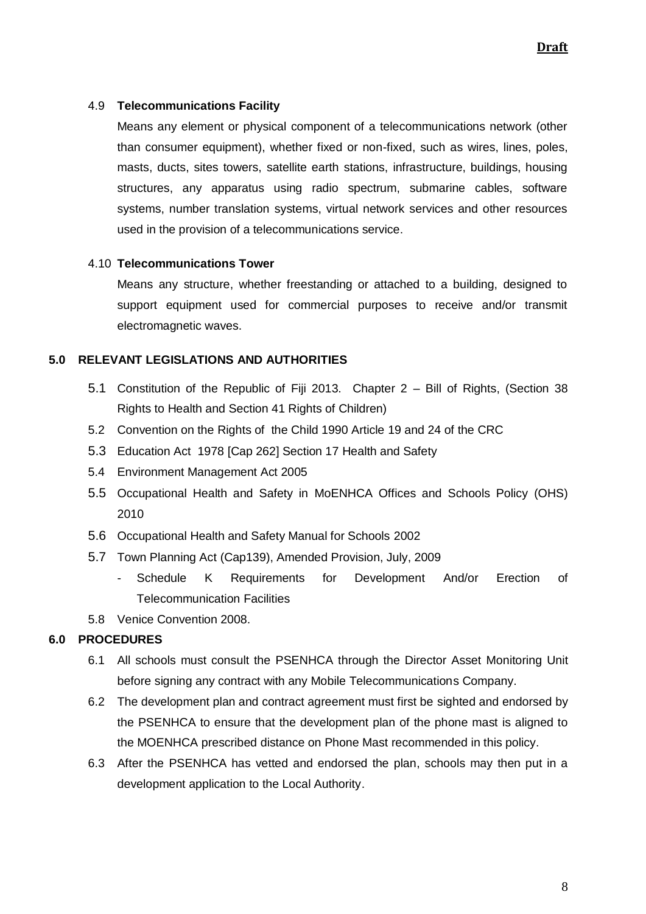## 4.9 **Telecommunications Facility**

Means any element or physical component of a telecommunications network (other than consumer equipment), whether fixed or non-fixed, such as wires, lines, poles, masts, ducts, sites towers, satellite earth stations, infrastructure, buildings, housing structures, any apparatus using radio spectrum, submarine cables, software systems, number translation systems, virtual network services and other resources used in the provision of a telecommunications service.

### 4.10 **Telecommunications Tower**

Means any structure, whether freestanding or attached to a building, designed to support equipment used for commercial purposes to receive and/or transmit electromagnetic waves.

## **5.0 RELEVANT LEGISLATIONS AND AUTHORITIES**

- 5.1 Constitution of the Republic of Fiji 2013. Chapter 2 Bill of Rights, (Section 38 Rights to Health and Section 41 Rights of Children)
- 5.2 Convention on the Rights of the Child 1990 Article 19 and 24 of the CRC
- 5.3 Education Act 1978 [Cap 262] Section 17 Health and Safety
- 5.4 Environment Management Act 2005
- 5.5 Occupational Health and Safety in MoENHCA Offices and Schools Policy (OHS) 2010
- 5.6 Occupational Health and Safety Manual for Schools 2002
- 5.7 Town Planning Act (Cap139), Amended Provision, July, 2009
	- Schedule K Requirements for Development And/or Erection of Telecommunication Facilities
- 5.8 Venice Convention 2008.

## **6.0 PROCEDURES**

- 6.1 All schools must consult the PSENHCA through the Director Asset Monitoring Unit before signing any contract with any Mobile Telecommunications Company.
- 6.2 The development plan and contract agreement must first be sighted and endorsed by the PSENHCA to ensure that the development plan of the phone mast is aligned to the MOENHCA prescribed distance on Phone Mast recommended in this policy.
- 6.3 After the PSENHCA has vetted and endorsed the plan, schools may then put in a development application to the Local Authority.